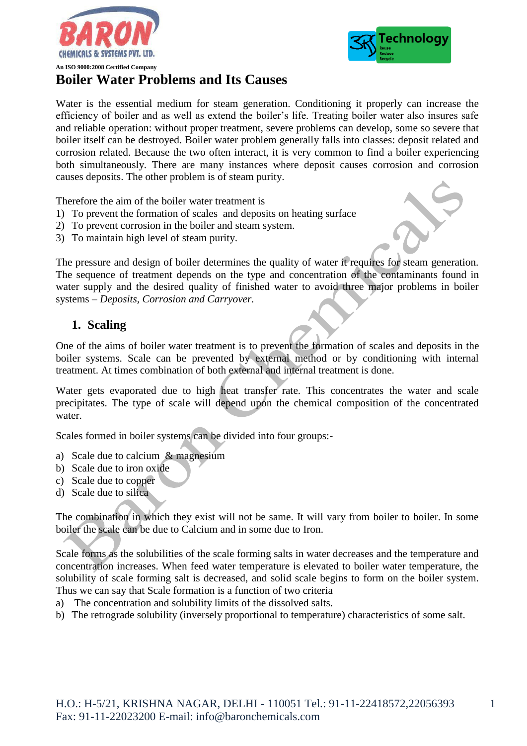



# **Boiler Water Problems and Its Causes**

Water is the essential medium for steam generation. Conditioning it properly can increase the efficiency of boiler and as well as extend the boiler's life. Treating boiler water also insures safe and reliable operation: without proper treatment, severe problems can develop, some so severe that boiler itself can be destroyed. Boiler water problem generally falls into classes: deposit related and corrosion related. Because the two often interact, it is very common to find a boiler experiencing both simultaneously. There are many instances where deposit causes corrosion and corrosion causes deposits. The other problem is of steam purity.

Therefore the aim of the boiler water treatment is

- 1) To prevent the formation of scales and deposits on heating surface
- 2) To prevent corrosion in the boiler and steam system.
- 3) To maintain high level of steam purity.

The pressure and design of boiler determines the quality of water it requires for steam generation. The sequence of treatment depends on the type and concentration of the contaminants found in water supply and the desired quality of finished water to avoid three major problems in boiler systems – *Deposits, Corrosion and Carryover.*

# **1. Scaling**

One of the aims of boiler water treatment is to prevent the formation of scales and deposits in the boiler systems. Scale can be prevented by external method or by conditioning with internal treatment. At times combination of both external and internal treatment is done.

Water gets evaporated due to high heat transfer rate. This concentrates the water and scale precipitates. The type of scale will depend upon the chemical composition of the concentrated water.

Scales formed in boiler systems can be divided into four groups:-

- a) Scale due to calcium & magnesium
- b) Scale due to iron oxide
- c) Scale due to copper
- d) Scale due to silica

The combination in which they exist will not be same. It will vary from boiler to boiler. In some boiler the scale can be due to Calcium and in some due to Iron.

Scale forms as the solubilities of the scale forming salts in water decreases and the temperature and concentration increases. When feed water temperature is elevated to boiler water temperature, the solubility of scale forming salt is decreased, and solid scale begins to form on the boiler system. Thus we can say that Scale formation is a function of two criteria

- a) The concentration and solubility limits of the dissolved salts.
- b) The retrograde solubility (inversely proportional to temperature) characteristics of some salt.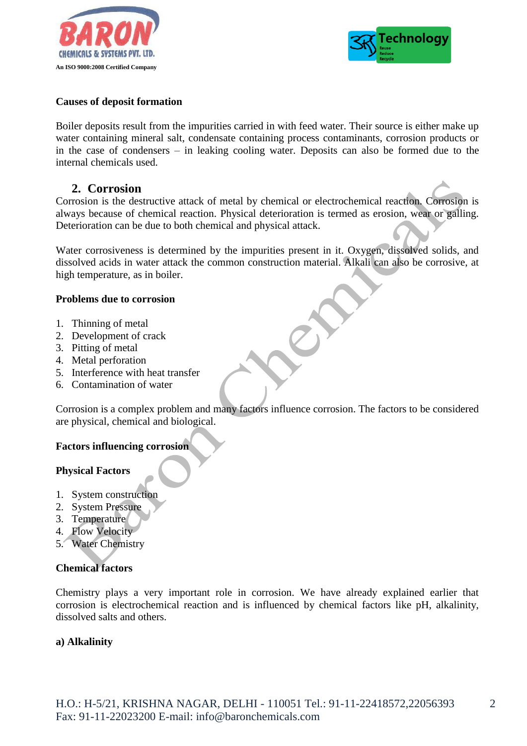



#### **Causes of deposit formation**

Boiler deposits result from the impurities carried in with feed water. Their source is either make up water containing mineral salt, condensate containing process contaminants, corrosion products or in the case of condensers – in leaking cooling water. Deposits can also be formed due to the internal chemicals used.

# **2. Corrosion**

Corrosion is the destructive attack of metal by chemical or electrochemical reaction. Corrosion is always because of chemical reaction. Physical deterioration is termed as erosion, wear or galling. Deterioration can be due to both chemical and physical attack.

Water corrosiveness is determined by the impurities present in it. Oxygen, dissolved solids, and dissolved acids in water attack the common construction material. Alkali can also be corrosive, at high temperature, as in boiler.

#### **Problems due to corrosion**

- 1. Thinning of metal
- 2. Development of crack
- 3. Pitting of metal
- 4. Metal perforation
- 5. Interference with heat transfer
- 6. Contamination of water

Corrosion is a complex problem and many factors influence corrosion. The factors to be considered are physical, chemical and biological.

## **Factors influencing corrosion**

## **Physical Factors**

- 1. System construction
- 2. System Pressure
- 3. Temperature
- 4. Flow Velocity
- 5. Water Chemistry

## **Chemical factors**

Chemistry plays a very important role in corrosion. We have already explained earlier that corrosion is electrochemical reaction and is influenced by chemical factors like pH, alkalinity, dissolved salts and others.

## **a) Alkalinity**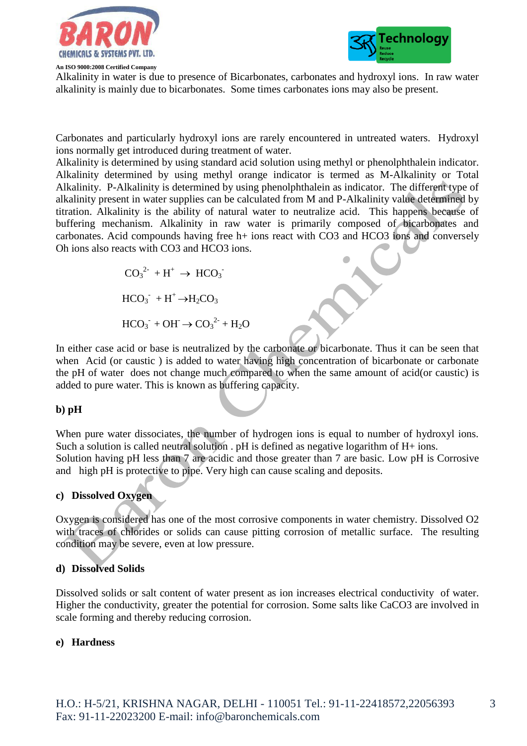

**An ISO 9000:2008 Certified Company**



Alkalinity in water is due to presence of Bicarbonates, carbonates and hydroxyl ions. In raw water alkalinity is mainly due to bicarbonates. Some times carbonates ions may also be present.

Carbonates and particularly hydroxyl ions are rarely encountered in untreated waters. Hydroxyl ions normally get introduced during treatment of water.

Alkalinity is determined by using standard acid solution using methyl or phenolphthalein indicator. Alkalinity determined by using methyl orange indicator is termed as M-Alkalinity or Total Alkalinity. P-Alkalinity is determined by using phenolphthalein as indicator. The different type of alkalinity present in water supplies can be calculated from M and P-Alkalinity value determined by titration. Alkalinity is the ability of natural water to neutralize acid. This happens because of buffering mechanism. Alkalinity in raw water is primarily composed of bicarbonates and carbonates. Acid compounds having free h+ ions react with CO3 and HCO3 ions and conversely Oh ions also reacts with CO3 and HCO3 ions.

 $CO_3^2$  + H<sup>+</sup>  $\rightarrow$  HCO<sub>3</sub><sup>-</sup>  $HCO_3$ <sup>+</sup> +  $H^+$   $\rightarrow$   $H_2CO_3$  $HCO_3^- + OH^- \rightarrow CO_3^{2-} + H_2O$ 

In either case acid or base is neutralized by the carbonate or bicarbonate. Thus it can be seen that when Acid (or caustic ) is added to water having high concentration of bicarbonate or carbonate the pH of water does not change much compared to when the same amount of acid(or caustic) is added to pure water. This is known as buffering capacity.

## **b) pH**

When pure water dissociates, the number of hydrogen ions is equal to number of hydroxyl ions. Such a solution is called neutral solution . pH is defined as negative logarithm of H+ ions. Solution having pH less than 7 are acidic and those greater than 7 are basic. Low pH is Corrosive and high pH is protective to pipe. Very high can cause scaling and deposits.

## **c) Dissolved Oxygen**

Oxygen is considered has one of the most corrosive components in water chemistry. Dissolved O2 with traces of chlorides or solids can cause pitting corrosion of metallic surface. The resulting condition may be severe, even at low pressure.

#### **d) Dissolved Solids**

Dissolved solids or salt content of water present as ion increases electrical conductivity of water. Higher the conductivity, greater the potential for corrosion. Some salts like CaCO3 are involved in scale forming and thereby reducing corrosion.

#### **e) Hardness**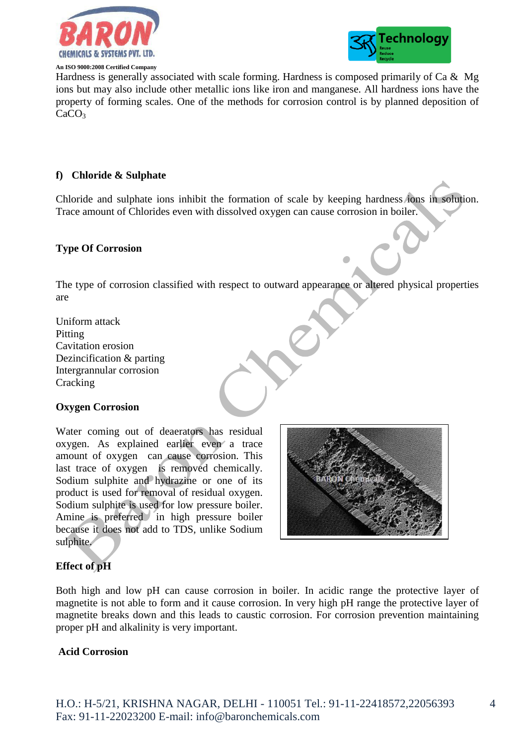

#### **An ISO 9000:2008 Certified Company**



Hardness is generally associated with scale forming. Hardness is composed primarily of Ca  $\&$  Mg ions but may also include other metallic ions like iron and manganese. All hardness ions have the property of forming scales. One of the methods for corrosion control is by planned deposition of  $CaCO<sub>3</sub>$ 

## **f) Chloride & Sulphate**

Chloride and sulphate ions inhibit the formation of scale by keeping hardness ions in solution. Trace amount of Chlorides even with dissolved oxygen can cause corrosion in boiler.

#### **Type Of Corrosion**

The type of corrosion classified with respect to outward appearance or altered physical properties are

Uniform attack Pitting Cavitation erosion Dezincification & parting Intergrannular corrosion **Cracking** 

## **Oxygen Corrosion**

Water coming out of deaerators has residual oxygen. As explained earlier even a trace amount of oxygen can cause corrosion. This last trace of oxygen is removed chemically. Sodium sulphite and hydrazine or one of its product is used for removal of residual oxygen. Sodium sulphite is used for low pressure boiler. Amine is preferred in high pressure boiler because it does not add to TDS, unlike Sodium sulphite.



## **Effect of pH**

Both high and low pH can cause corrosion in boiler. In acidic range the protective layer of magnetite is not able to form and it cause corrosion. In very high pH range the protective layer of magnetite breaks down and this leads to caustic corrosion. For corrosion prevention maintaining proper pH and alkalinity is very important.

#### **Acid Corrosion**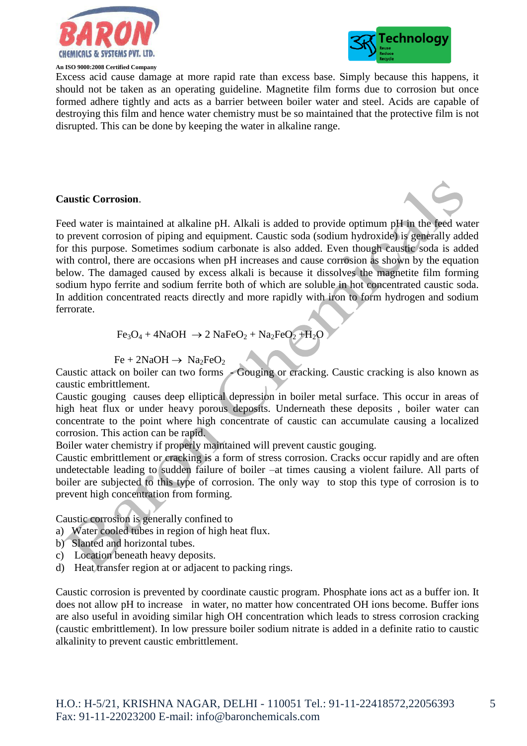

#### **An ISO 9000:2008 Certified Company**



Excess acid cause damage at more rapid rate than excess base. Simply because this happens, it should not be taken as an operating guideline. Magnetite film forms due to corrosion but once formed adhere tightly and acts as a barrier between boiler water and steel. Acids are capable of destroying this film and hence water chemistry must be so maintained that the protective film is not disrupted. This can be done by keeping the water in alkaline range.

#### **Caustic Corrosion**.

Feed water is maintained at alkaline pH. Alkali is added to provide optimum pH in the feed water to prevent corrosion of piping and equipment. Caustic soda (sodium hydroxide) is generally added for this purpose. Sometimes sodium carbonate is also added. Even though caustic soda is added with control, there are occasions when pH increases and cause corrosion as shown by the equation below. The damaged caused by excess alkali is because it dissolves the magnetite film forming sodium hypo ferrite and sodium ferrite both of which are soluble in hot concentrated caustic soda. In addition concentrated reacts directly and more rapidly with iron to form hydrogen and sodium ferrorate.

$$
Fe3O4 + 4NaOH \rightarrow 2 NaFeO2 + Na2FeO2 + H2O
$$

$$
Fe + 2NaOH \rightarrow Na_2FeO_2
$$

Caustic attack on boiler can two forms - Gouging or cracking. Caustic cracking is also known as caustic embrittlement.

Caustic gouging causes deep elliptical depression in boiler metal surface. This occur in areas of high heat flux or under heavy porous deposits. Underneath these deposits , boiler water can concentrate to the point where high concentrate of caustic can accumulate causing a localized corrosion. This action can be rapid.

Boiler water chemistry if properly maintained will prevent caustic gouging.

Caustic embrittlement or cracking is a form of stress corrosion. Cracks occur rapidly and are often undetectable leading to sudden failure of boiler –at times causing a violent failure. All parts of boiler are subjected to this type of corrosion. The only way to stop this type of corrosion is to prevent high concentration from forming.

Caustic corrosion is generally confined to

- a) Water cooled tubes in region of high heat flux.
- b) Slanted and horizontal tubes.
- c) Location beneath heavy deposits.
- d) Heat transfer region at or adjacent to packing rings.

Caustic corrosion is prevented by coordinate caustic program. Phosphate ions act as a buffer ion. It does not allow pH to increase in water, no matter how concentrated OH ions become. Buffer ions are also useful in avoiding similar high OH concentration which leads to stress corrosion cracking (caustic embrittlement). In low pressure boiler sodium nitrate is added in a definite ratio to caustic alkalinity to prevent caustic embrittlement.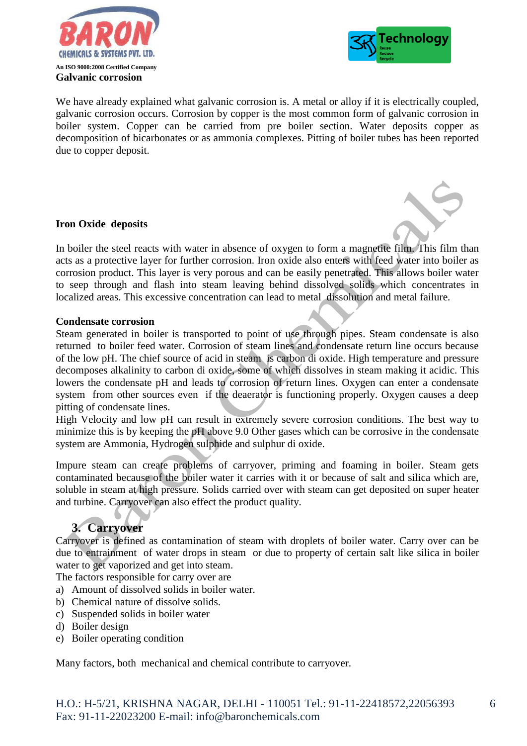



6

We have already explained what galvanic corrosion is. A metal or alloy if it is electrically coupled, galvanic corrosion occurs. Corrosion by copper is the most common form of galvanic corrosion in boiler system. Copper can be carried from pre boiler section. Water deposits copper as decomposition of bicarbonates or as ammonia complexes. Pitting of boiler tubes has been reported due to copper deposit.

## **Iron Oxide deposits**

In boiler the steel reacts with water in absence of oxygen to form a magnetite film. This film than acts as a protective layer for further corrosion. Iron oxide also enters with feed water into boiler as corrosion product. This layer is very porous and can be easily penetrated. This allows boiler water to seep through and flash into steam leaving behind dissolved solids which concentrates in localized areas. This excessive concentration can lead to metal dissolution and metal failure.

#### **Condensate corrosion**

Steam generated in boiler is transported to point of use through pipes. Steam condensate is also returned to boiler feed water. Corrosion of steam lines and condensate return line occurs because of the low pH. The chief source of acid in steam is carbon di oxide. High temperature and pressure decomposes alkalinity to carbon di oxide, some of which dissolves in steam making it acidic. This lowers the condensate pH and leads to corrosion of return lines. Oxygen can enter a condensate system from other sources even if the deaerator is functioning properly. Oxygen causes a deep pitting of condensate lines.

High Velocity and low pH can result in extremely severe corrosion conditions. The best way to minimize this is by keeping the pH above 9.0 Other gases which can be corrosive in the condensate system are Ammonia, Hydrogen sulphide and sulphur di oxide.

Impure steam can create problems of carryover, priming and foaming in boiler. Steam gets contaminated because of the boiler water it carries with it or because of salt and silica which are, soluble in steam at high pressure. Solids carried over with steam can get deposited on super heater and turbine. Carryover can also effect the product quality.

# **3. Carryover**

Carryover is defined as contamination of steam with droplets of boiler water. Carry over can be due to entrainment of water drops in steam or due to property of certain salt like silica in boiler water to get vaporized and get into steam.

The factors responsible for carry over are

- a) Amount of dissolved solids in boiler water.
- b) Chemical nature of dissolve solids.
- c) Suspended solids in boiler water
- d) Boiler design
- e) Boiler operating condition

Many factors, both mechanical and chemical contribute to carryover.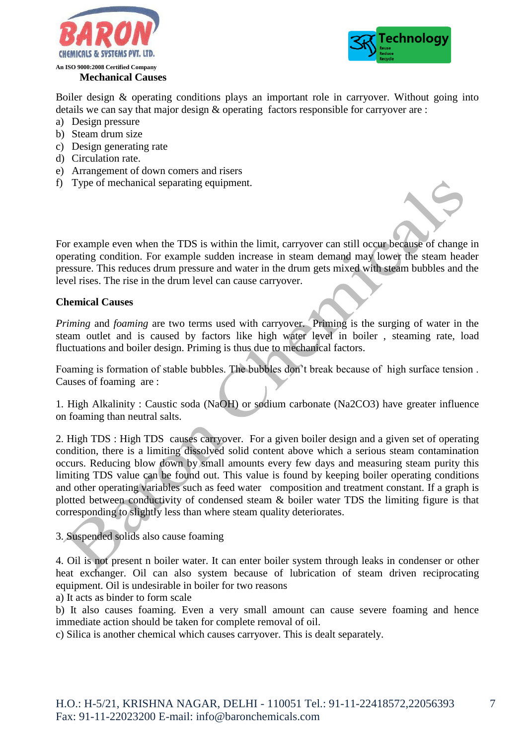



Boiler design & operating conditions plays an important role in carryover. Without going into details we can say that major design & operating factors responsible for carryover are :

- a) Design pressure
- b) Steam drum size
- c) Design generating rate
- d) Circulation rate.
- e) Arrangement of down comers and risers
- f) Type of mechanical separating equipment.

For example even when the TDS is within the limit, carryover can still occur because of change in operating condition. For example sudden increase in steam demand may lower the steam header pressure. This reduces drum pressure and water in the drum gets mixed with steam bubbles and the level rises. The rise in the drum level can cause carryover.

#### **Chemical Causes**

*Priming* and *foaming* are two terms used with carryover. Priming is the surging of water in the steam outlet and is caused by factors like high water level in boiler , steaming rate, load fluctuations and boiler design. Priming is thus due to mechanical factors.

Foaming is formation of stable bubbles. The bubbles don't break because of high surface tension . Causes of foaming are :

1. High Alkalinity : Caustic soda (NaOH) or sodium carbonate (Na2CO3) have greater influence on foaming than neutral salts.

2. High TDS : High TDS causes carryover. For a given boiler design and a given set of operating condition, there is a limiting dissolved solid content above which a serious steam contamination occurs. Reducing blow down by small amounts every few days and measuring steam purity this limiting TDS value can be found out. This value is found by keeping boiler operating conditions and other operating variables such as feed water composition and treatment constant. If a graph is plotted between conductivity of condensed steam & boiler water TDS the limiting figure is that corresponding to slightly less than where steam quality deteriorates.

#### 3. Suspended solids also cause foaming

4. Oil is not present n boiler water. It can enter boiler system through leaks in condenser or other heat exchanger. Oil can also system because of lubrication of steam driven reciprocating equipment. Oil is undesirable in boiler for two reasons

a) It acts as binder to form scale

b) It also causes foaming. Even a very small amount can cause severe foaming and hence immediate action should be taken for complete removal of oil.

c) Silica is another chemical which causes carryover. This is dealt separately.